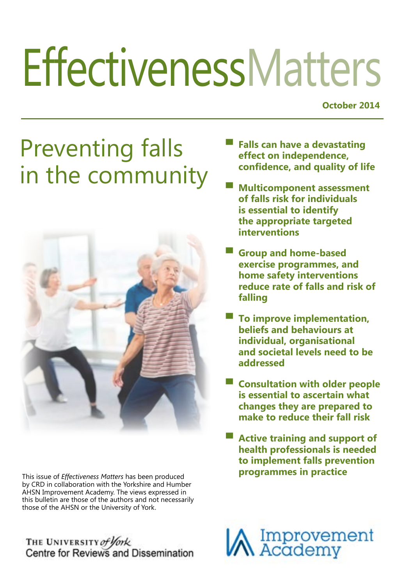# **EffectivenessMatters**

**October 2014**

# Preventing falls in the community



This issue of *Effectiveness Matters* has been produced by CRD in collaboration with the Yorkshire and Humber AHSN Improvement Academy. The views expressed in this bulletin are those of the authors and not necessarily those of the AHSN or the University of York.

THE UNIVERSITY of York<br>Centre for Reviews and Dissemination

- **▀ Falls can have a devastating effect on independence, confidence, and quality of life**
- **Multicomponent assessment of falls risk for individuals is essential to identify the appropriate targeted interventions**
- **▀ Group and home-based exercise programmes, and home safety interventions reduce rate of falls and risk of falling**
- **▀ To improve implementation, beliefs and behaviours at individual, organisational and societal levels need to be addressed**
- **▀ Consultation with older people is essential to ascertain what changes they are prepared to make to reduce their fall risk**
- **Active training and support of health professionals is needed to implement falls prevention programmes in practice**

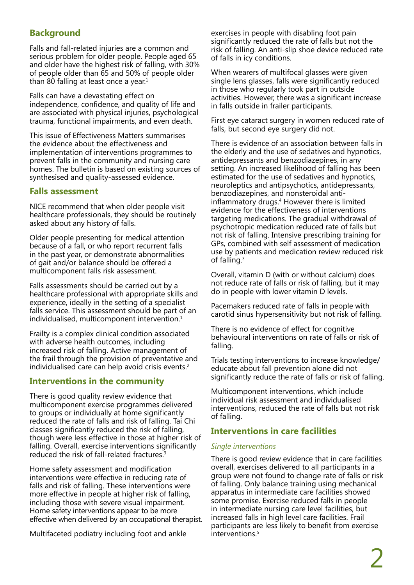# **Background**

Falls and fall-related injuries are a common and serious problem for older people. People aged 65 and older have the highest risk of falling, with 30% of people older than 65 and 50% of people older than 80 falling at least once a year.<sup>1</sup>

Falls can have a devastating effect on independence, confidence, and quality of life and are associated with physical injuries, psychological trauma, functional impairments, and even death.

This issue of Effectiveness Matters summarises the evidence about the effectiveness and implementation of interventions programmes to prevent falls in the community and nursing care homes. The bulletin is based on existing sources of synthesised and quality-assessed evidence.

### **Falls assessment**

NICE recommend that when older people visit healthcare professionals, they should be routinely asked about any history of falls.

Older people presenting for medical attention because of a fall, or who report recurrent falls in the past year, or demonstrate abnormalities of gait and/or balance should be offered a multicomponent falls risk assessment.

Falls assessments should be carried out by a healthcare professional with appropriate skills and experience, ideally in the setting of a specialist falls service. This assessment should be part of an individualised, multicomponent intervention.<sup>1</sup>

Frailty is a complex clinical condition associated with adverse health outcomes, including increased risk of falling. Active management of the frail through the provision of preventative and individualised care can help avoid crisis events.<sup>2</sup>

# **Interventions in the community**

There is good quality review evidence that multicomponent exercise programmes delivered to groups or individually at home significantly reduced the rate of falls and risk of falling. Tai Chi classes significantly reduced the risk of falling, though were less effective in those at higher risk of falling. Overall, exercise interventions significantly reduced the risk of fall-related fractures.3

Home safety assessment and modification interventions were effective in reducing rate of falls and risk of falling. These interventions were more effective in people at higher risk of falling, including those with severe visual impairment. Home safety interventions appear to be more effective when delivered by an occupational therapist.

Multifaceted podiatry including foot and ankle

exercises in people with disabling foot pain significantly reduced the rate of falls but not the risk of falling. An anti-slip shoe device reduced rate of falls in icy conditions.

When wearers of multifocal glasses were given single lens glasses, falls were significantly reduced in those who regularly took part in outside activities. However, there was a significant increase in falls outside in frailer participants.

First eye cataract surgery in women reduced rate of falls, but second eye surgery did not.

There is evidence of an association between falls in the elderly and the use of sedatives and hypnotics, antidepressants and benzodiazepines, in any setting. An increased likelihood of falling has been estimated for the use of sedatives and hypnotics, neuroleptics and antipsychotics, antidepressants, benzodiazepines, and nonsteroidal antiinflammatory drugs.<sup>4</sup> However there is limited evidence for the effectiveness of interventions targeting medications. The gradual withdrawal of psychotropic medication reduced rate of falls but not risk of falling. Intensive prescribing training for GPs, combined with self assessment of medication use by patients and medication review reduced risk of falling.3

Overall, vitamin D (with or without calcium) does not reduce rate of falls or risk of falling, but it may do in people with lower vitamin D levels.

Pacemakers reduced rate of falls in people with carotid sinus hypersensitivity but not risk of falling.

There is no evidence of effect for cognitive behavioural interventions on rate of falls or risk of falling.

Trials testing interventions to increase knowledge/ educate about fall prevention alone did not significantly reduce the rate of falls or risk of falling.

Multicomponent interventions, which include individual risk assessment and individualised interventions, reduced the rate of falls but not risk of falling.

# **Interventions in care facilities**

### *Single interventions*

There is good review evidence that in care facilities overall, exercises delivered to all participants in a group were not found to change rate of falls or risk of falling. Only balance training using mechanical apparatus in intermediate care facilities showed some promise. Exercise reduced falls in people in intermediate nursing care level facilities, but increased falls in high level care facilities. Frail participants are less likely to benefit from exercise interventions.<sup>5</sup>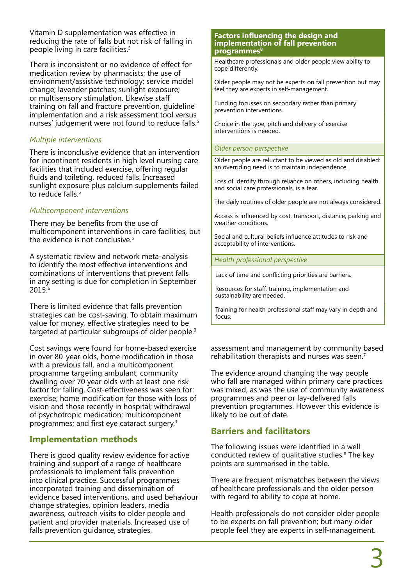Vitamin D supplementation was effective in reducing the rate of falls but not risk of falling in people living in care facilities.5

There is inconsistent or no evidence of effect for medication review by pharmacists; the use of environment/assistive technology; service model change; lavender patches; sunlight exposure; or multisensory stimulation. Likewise staff training on fall and fracture prevention, guideline implementation and a risk assessment tool versus nurses' judgement were not found to reduce falls.<sup>5</sup>

## *Multiple interventions*

There is inconclusive evidence that an intervention for incontinent residents in high level nursing care facilities that included exercise, offering regular fluids and toileting, reduced falls. Increased sunlight exposure plus calcium supplements failed to reduce falls.<sup>5</sup>

# *Multicomponent interventions*

There may be benefits from the use of multicomponent interventions in care facilities, but the evidence is not conclusive.<sup>5</sup>

A systematic review and network meta-analysis to identify the most effective interventions and combinations of interventions that prevent falls in any setting is due for completion in September 2015.6

There is limited evidence that falls prevention strategies can be cost-saving. To obtain maximum value for money, effective strategies need to be targeted at particular subgroups of older people.<sup>3</sup>

Cost savings were found for home-based exercise in over 80-year-olds, home modification in those with a previous fall, and a multicomponent programme targeting ambulant, community dwelling over 70 year olds with at least one risk factor for falling. Cost-effectiveness was seen for: exercise; home modification for those with loss of vision and those recently in hospital; withdrawal of psychotropic medication; multicomponent programmes; and first eye cataract surgery.<sup>3</sup>

# **Implementation methods**

There is good quality review evidence for active training and support of a range of healthcare professionals to implement falls prevention into clinical practice. Successful programmes incorporated training and dissemination of evidence based interventions, and used behaviour change strategies, opinion leaders, media awareness, outreach visits to older people and patient and provider materials. Increased use of falls prevention guidance, strategies,

#### **Factors influencing the design and implementation of fall prevention**  programmes<sup>8</sup>

Healthcare professionals and older people view ability to cope differently.

Older people may not be experts on fall prevention but may feel they are experts in self-management.

Funding focusses on secondary rather than primary prevention interventions.

Choice in the type, pitch and delivery of exercise interventions is needed.

#### *Older person perspective*

Older people are reluctant to be viewed as old and disabled: an overriding need is to maintain independence.

Loss of identity through reliance on others, including health and social care professionals, is a fear.

The daily routines of older people are not always considered.

Access is influenced by cost, transport, distance, parking and weather conditions.

Social and cultural beliefs influence attitudes to risk and acceptability of interventions.

#### *Health professional perspective*

Lack of time and conflicting priorities are barriers.

Resources for staff, training, implementation and sustainability are needed.

Training for health professional staff may vary in depth and focus.

assessment and management by community based rehabilitation therapists and nurses was seen.<sup>7</sup>

The evidence around changing the way people who fall are managed within primary care practices was mixed, as was the use of community awareness programmes and peer or lay-delivered falls prevention programmes. However this evidence is likely to be out of date.

# **Barriers and facilitators**

The following issues were identified in a well conducted review of qualitative studies.<sup>8</sup> The key points are summarised in the table.

There are frequent mismatches between the views of healthcare professionals and the older person with regard to ability to cope at home.

Health professionals do not consider older people to be experts on fall prevention; but many older people feel they are experts in self-management.